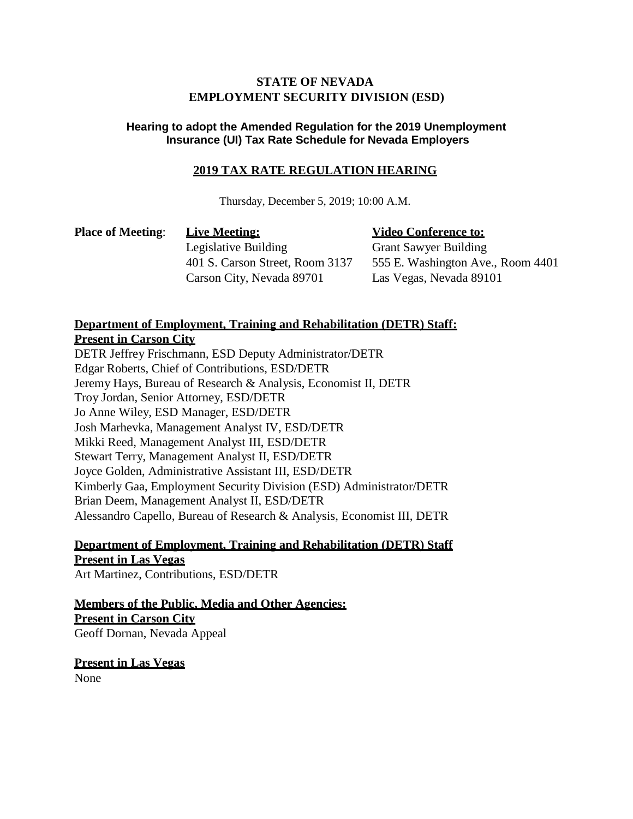## **STATE OF NEVADA EMPLOYMENT SECURITY DIVISION (ESD)**

## **Hearing to adopt the Amended Regulation for the 2019 Unemployment Insurance (UI) Tax Rate Schedule for Nevada Employers**

## **2019 TAX RATE REGULATION HEARING**

Thursday, December 5, 2019; 10:00 A.M.

**Place** of Meeting: Live Meeting:  $\bullet$  **Video** Conference to: Legislative Building Grant Sawyer Building Carson City, Nevada 89701 Las Vegas, Nevada 89101

401 S. Carson Street, Room 3137 555 E. Washington Ave., Room 4401

## **Department of Employment, Training and Rehabilitation (DETR) Staff:**

**Present in Carson City**

DETR Jeffrey Frischmann, ESD Deputy Administrator/DETR Edgar Roberts, Chief of Contributions, ESD/DETR Jeremy Hays, Bureau of Research & Analysis, Economist II, DETR Troy Jordan, Senior Attorney, ESD/DETR Jo Anne Wiley, ESD Manager, ESD/DETR Josh Marhevka, Management Analyst IV, ESD/DETR Mikki Reed, Management Analyst III, ESD/DETR Stewart Terry, Management Analyst II, ESD/DETR Joyce Golden, Administrative Assistant III, ESD/DETR Kimberly Gaa, Employment Security Division (ESD) Administrator/DETR Brian Deem, Management Analyst II, ESD/DETR Alessandro Capello, Bureau of Research & Analysis, Economist III, DETR

**Department of Employment, Training and Rehabilitation (DETR) Staff Present in Las Vegas** Art Martinez, Contributions, ESD/DETR

**Members of the Public, Media and Other Agencies: Present in Carson City** Geoff Dornan, Nevada Appeal

**Present in Las Vegas** None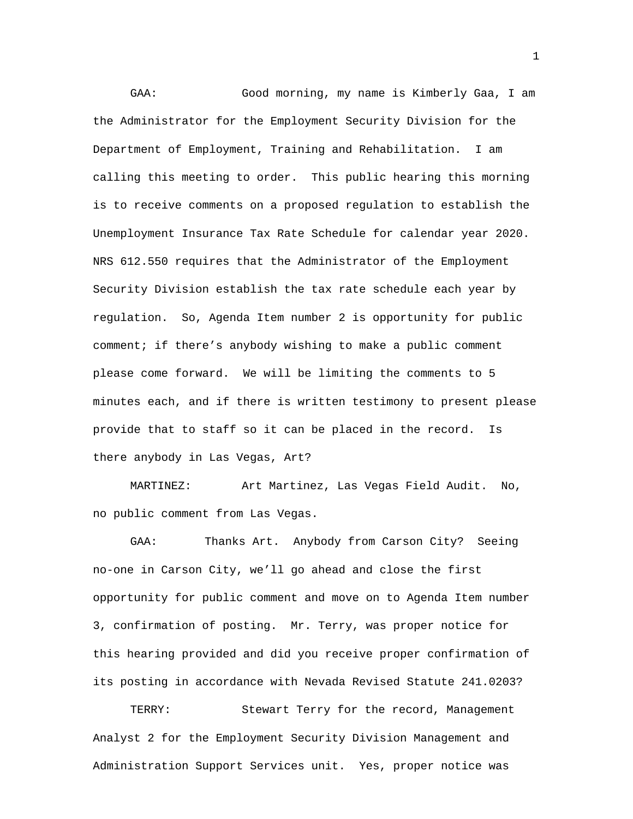GAA: Good morning, my name is Kimberly Gaa, I am the Administrator for the Employment Security Division for the Department of Employment, Training and Rehabilitation. I am calling this meeting to order. This public hearing this morning is to receive comments on a proposed regulation to establish the Unemployment Insurance Tax Rate Schedule for calendar year 2020. NRS 612.550 requires that the Administrator of the Employment Security Division establish the tax rate schedule each year by regulation. So, Agenda Item number 2 is opportunity for public comment; if there's anybody wishing to make a public comment please come forward. We will be limiting the comments to 5 minutes each, and if there is written testimony to present please provide that to staff so it can be placed in the record. Is there anybody in Las Vegas, Art?

MARTINEZ: Art Martinez, Las Vegas Field Audit. No, no public comment from Las Vegas.

GAA: Thanks Art. Anybody from Carson City? Seeing no-one in Carson City, we'll go ahead and close the first opportunity for public comment and move on to Agenda Item number 3, confirmation of posting. Mr. Terry, was proper notice for this hearing provided and did you receive proper confirmation of its posting in accordance with Nevada Revised Statute 241.0203?

TERRY: Stewart Terry for the record, Management Analyst 2 for the Employment Security Division Management and Administration Support Services unit. Yes, proper notice was

1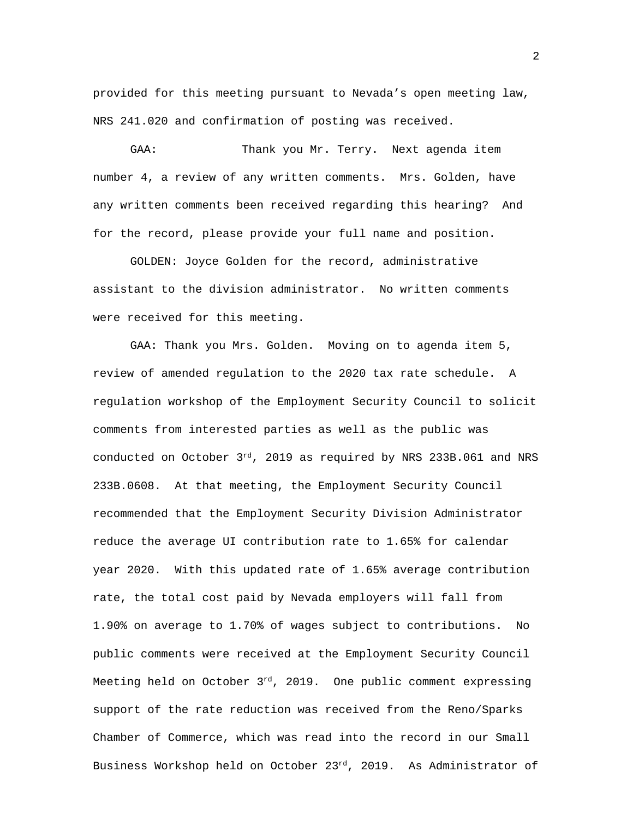provided for this meeting pursuant to Nevada's open meeting law, NRS 241.020 and confirmation of posting was received.

GAA: Thank you Mr. Terry. Next agenda item number 4, a review of any written comments. Mrs. Golden, have any written comments been received regarding this hearing? And for the record, please provide your full name and position.

GOLDEN: Joyce Golden for the record, administrative assistant to the division administrator. No written comments were received for this meeting.

GAA: Thank you Mrs. Golden. Moving on to agenda item 5, review of amended regulation to the 2020 tax rate schedule. A regulation workshop of the Employment Security Council to solicit comments from interested parties as well as the public was conducted on October 3rd, 2019 as required by NRS 233B.061 and NRS 233B.0608. At that meeting, the Employment Security Council recommended that the Employment Security Division Administrator reduce the average UI contribution rate to 1.65% for calendar year 2020. With this updated rate of 1.65% average contribution rate, the total cost paid by Nevada employers will fall from 1.90% on average to 1.70% of wages subject to contributions. No public comments were received at the Employment Security Council Meeting held on October 3<sup>rd</sup>, 2019. One public comment expressing support of the rate reduction was received from the Reno/Sparks Chamber of Commerce, which was read into the record in our Small Business Workshop held on October 23rd, 2019. As Administrator of

2